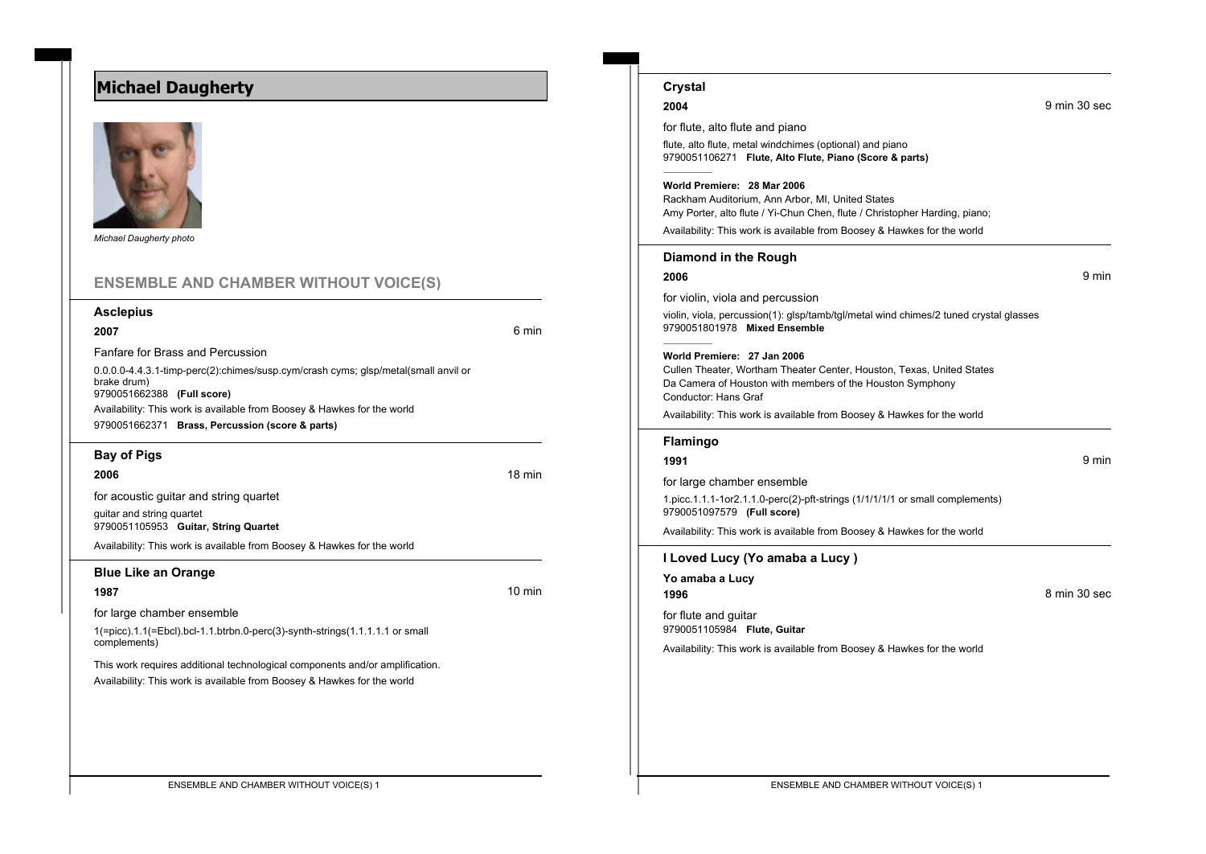## **Michael Daugherty**



*Michael Daugherty photo*

## **ENSEMBLE AND CHAMBER WITHOUT VOICE(S)**

#### **Asclepius**

**2007** 6 min

Fanfare for Brass and Percussion

0.0.0.0-4.4.3.1-timp-perc(2):chimes/susp.cym/crash cyms; glsp/metal(small anvil or brake drum) 9790051662388 **(Full score)** Availability: This work is available from Boosey & Hawkes for the world

9790051662371 **Brass, Percussion (score & parts)**

#### **Bay of Pigs**

**2006** 18 min

for acoustic guitar and string quartet

guitar and string quartet 9790051105953 **Guitar, String Quartet**

Availability: This work is available from Boosey & Hawkes for the world

#### **Blue Like an Orange**

**1987** 10 min

for large chamber ensemble

1(=picc).1.1(=Ebcl).bcl-1.1.btrbn.0-perc(3)-synth-strings(1.1.1.1.1 or small complements)

This work requires additional technological components and/or amplification. Availability: This work is available from Boosey & Hawkes for the world

| Diamond in the Rough                                                                                                  |              |
|-----------------------------------------------------------------------------------------------------------------------|--------------|
| 2006                                                                                                                  | 9 min        |
| for violin, viola and percussion                                                                                      |              |
| violin, viola, percussion(1): glsp/tamb/tgl/metal wind chimes/2 tuned crystal glasses<br>9790051801978 Mixed Ensemble |              |
| World Premiere: 27 Jan 2006                                                                                           |              |
| Cullen Theater, Wortham Theater Center, Houston, Texas, United States                                                 |              |
| Da Camera of Houston with members of the Houston Symphony<br>Conductor: Hans Graf                                     |              |
| Availability: This work is available from Boosey & Hawkes for the world                                               |              |
| Flamingo                                                                                                              |              |
| 1991                                                                                                                  | 9 min        |
| for large chamber ensemble                                                                                            |              |
| 1.picc.1.1.1-1or2.1.1.0-perc(2)-pft-strings (1/1/1/1/1 or small complements)<br>9790051097579 (Full score)            |              |
| Availability: This work is available from Boosey & Hawkes for the world                                               |              |
| I Loved Lucy (Yo amaba a Lucy)                                                                                        |              |
| Yo amaba a Lucy                                                                                                       |              |
| 1996                                                                                                                  | 8 min 30 sec |
| for flute and guitar<br>9790051105984 Flute, Guitar                                                                   |              |
|                                                                                                                       |              |

# **2004** 9 min 30 sec

**Crystal**

for flute, alto flute and piano

flute, alto flute, metal windchimes (optional) and piano 9790051106271 **Flute, Alto Flute, Piano (Score & parts)**

#### **World Premiere: 28 Mar 2006**

Rackham Auditorium, Ann Arbor, MI, United States Amy Porter, alto flute / Yi-Chun Chen, flute / Christopher Harding, piano;

Availability: This work is available from Boosey & Hawkes for the world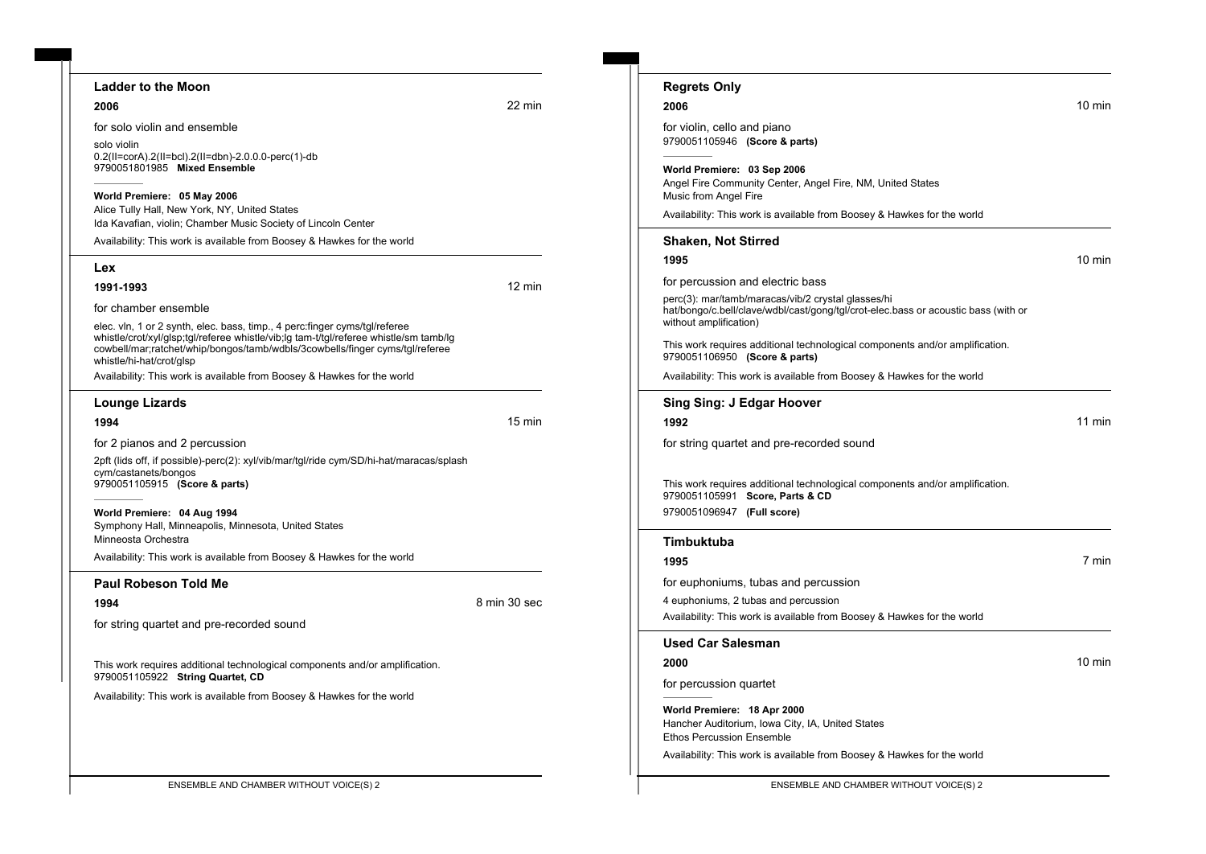#### **Ladder to the Moon**

**2006** 22 min

for solo violin and ensemble

solo violin 0.2(II=corA).2(II=bcl).2(II=dbn)-2.0.0.0-perc(1)-db 9790051801985 **Mixed Ensemble**

#### **World Premiere: 05 May 2006**

Alice Tully Hall, New York, NY, United States Ida Kavafian, violin; Chamber Music Society of Lincoln Center

Availability: This work is available from Boosey & Hawkes for the world

#### **Lex**

**1991-1993** 12 min

for chamber ensemble

elec. vln, 1 or 2 synth, elec. bass, timp., 4 perc:finger cyms/tgl/referee whistle/crot/xyl/glsp;tgl/referee whistle/vib;lg tam-t/tgl/referee whistle/sm tamb/lg cowbell/mar;ratchet/whip/bongos/tamb/wdbls/3cowbells/finger cyms/tgl/referee whistle/hi-hat/crot/glsp

Availability: This work is available from Boosey & Hawkes for the world

#### **Lounge Lizards**

**1994** 15 min

for 2 pianos and 2 percussion

2pft (lids off, if possible)-perc(2): xyl/vib/mar/tgl/ride cym/SD/hi-hat/maracas/splash cym/castanets/bongos 9790051105915 **(Score & parts)**

**World Premiere: 04 Aug 1994** Symphony Hall, Minneapolis, Minnesota, United States Minneosta Orchestra

Availability: This work is available from Boosey & Hawkes for the world

#### **Paul Robeson Told Me**

**1994** 8 min 30 sec

for string quartet and pre-recorded sound

This work requires additional technological components and/or amplification. 9790051105922 **String Quartet, CD**

Availability: This work is available from Boosey & Hawkes for the world

| e Moon                                                                                                                                           |                  | <b>Regrets Only</b>                                                                                                                                                |                  |
|--------------------------------------------------------------------------------------------------------------------------------------------------|------------------|--------------------------------------------------------------------------------------------------------------------------------------------------------------------|------------------|
|                                                                                                                                                  | 22 min           | 2006                                                                                                                                                               | $10 \text{ min}$ |
| and ensemble                                                                                                                                     |                  | for violin, cello and piano<br>9790051105946 (Score & parts)                                                                                                       |                  |
| =bcl).2(II=dbn)-2.0.0.0-perc(1)-db<br>Mixed Ensemble<br>: 05 May 2006                                                                            |                  | World Premiere: 03 Sep 2006<br>Angel Fire Community Center, Angel Fire, NM, United States<br>Music from Angel Fire                                                 |                  |
| New York, NY, United States<br>olin; Chamber Music Society of Lincoln Center                                                                     |                  | Availability: This work is available from Boosey & Hawkes for the world                                                                                            |                  |
| work is available from Boosey & Hawkes for the world                                                                                             |                  | <b>Shaken, Not Stirred</b>                                                                                                                                         |                  |
|                                                                                                                                                  |                  | 1995                                                                                                                                                               | 10 min           |
|                                                                                                                                                  | $12 \text{ min}$ | for percussion and electric bass                                                                                                                                   |                  |
| nsemble<br>synth, elec. bass, timp., 4 perc: finger cyms/tgl/referee                                                                             |                  | perc(3): mar/tamb/maracas/vib/2 crystal glasses/hi<br>hat/bongo/c.bell/clave/wdbl/cast/gong/tgl/crot-elec.bass or acoustic bass (with or<br>without amplification) |                  |
| glsp;tgl/referee whistle/vib;lg tam-t/tgl/referee whistle/sm tamb/lg<br>chet/whip/bongos/tamb/wdbls/3cowbells/finger cyms/tgl/referee<br>ot/glsp |                  | This work requires additional technological components and/or amplification.<br>9790051106950 (Score & parts)                                                      |                  |
| work is available from Boosey & Hawkes for the world                                                                                             |                  | Availability: This work is available from Boosey & Hawkes for the world                                                                                            |                  |
| rds                                                                                                                                              |                  | Sing Sing: J Edgar Hoover                                                                                                                                          |                  |
|                                                                                                                                                  | $15 \text{ min}$ | 1992                                                                                                                                                               | $11$ min         |
| nd 2 percussion                                                                                                                                  |                  | for string quartet and pre-recorded sound                                                                                                                          |                  |
| ossible)-perc(2): xyl/vib/mar/tgl/ride cym/SD/hi-hat/maracas/splash<br>ongos<br>Score & parts)                                                   |                  | This work requires additional technological components and/or amplification.<br>9790051105991 Score, Parts & CD                                                    |                  |
| : 04 Aug 1994<br>Minneapolis, Minnesota, United States                                                                                           |                  | 9790051096947 (Full score)                                                                                                                                         |                  |
| estra                                                                                                                                            |                  | <b>Timbuktuba</b>                                                                                                                                                  |                  |
| work is available from Boosey & Hawkes for the world                                                                                             |                  | 1995                                                                                                                                                               | 7 min            |
| วท Told Me<br>tet and pre-recorded sound                                                                                                         | 8 min 30 sec     | for euphoniums, tubas and percussion<br>4 euphoniums, 2 tubas and percussion<br>Availability: This work is available from Boosey & Hawkes for the world            |                  |
|                                                                                                                                                  |                  | <b>Used Car Salesman</b>                                                                                                                                           |                  |
| res additional technological components and/or amplification.<br>String Quartet, CD                                                              |                  | 2000                                                                                                                                                               | 10 min           |
| work is available from Boosey & Hawkes for the world                                                                                             |                  | for percussion quartet                                                                                                                                             |                  |
|                                                                                                                                                  |                  | World Premiere: 18 Apr 2000<br>Hancher Auditorium, Iowa City, IA, United States<br><b>Ethos Percussion Ensemble</b>                                                |                  |
|                                                                                                                                                  |                  | Availability: This work is available from Boosey & Hawkes for the world                                                                                            |                  |
| ENSEMBLE AND CHAMBER WITHOUT VOICE(S) 2                                                                                                          |                  | ENSEMBLE AND CHAMBER WITHOUT VOICE(S) 2                                                                                                                            |                  |